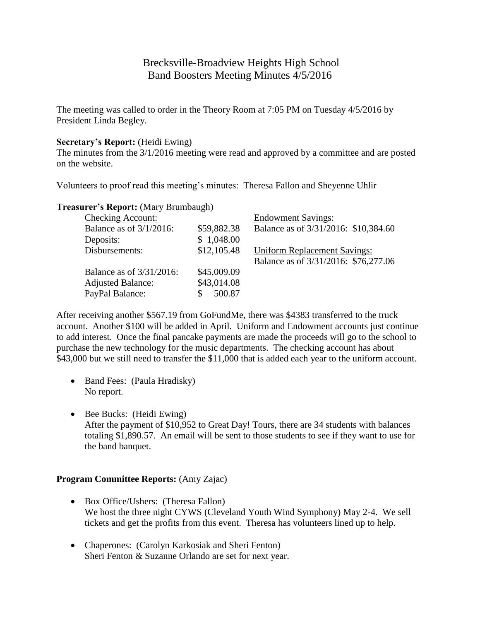# Brecksville-Broadview Heights High School Band Boosters Meeting Minutes 4/5/2016

The meeting was called to order in the Theory Room at 7:05 PM on Tuesday 4/5/2016 by President Linda Begley.

#### **Secretary's Report:** (Heidi Ewing)

The minutes from the 3/1/2016 meeting were read and approved by a committee and are posted on the website.

Volunteers to proof read this meeting's minutes: Theresa Fallon and Sheyenne Uhlir

| <b>Checking Account:</b>   |             | <b>Endowment Savings:</b>            |
|----------------------------|-------------|--------------------------------------|
| Balance as of $3/1/2016$ : | \$59,882.38 | Balance as of 3/31/2016: \$10,384.60 |
| Deposits:                  | \$1,048.00  |                                      |
| Disbursements:             | \$12,105.48 | <b>Uniform Replacement Savings:</b>  |
|                            |             | Balance as of 3/31/2016: \$76,277.06 |
| Balance as of 3/31/2016:   | \$45,009.09 |                                      |
| <b>Adjusted Balance:</b>   | \$43,014.08 |                                      |
| PayPal Balance:            | 500.87      |                                      |
|                            |             |                                      |

**Treasurer's Report:** (Mary Brumbaugh)

After receiving another \$567.19 from GoFundMe, there was \$4383 transferred to the truck account. Another \$100 will be added in April. Uniform and Endowment accounts just continue to add interest. Once the final pancake payments are made the proceeds will go to the school to purchase the new technology for the music departments. The checking account has about \$43,000 but we still need to transfer the \$11,000 that is added each year to the uniform account.

- Band Fees: (Paula Hradisky) No report.
- Bee Bucks: (Heidi Ewing) After the payment of \$10,952 to Great Day! Tours, there are 34 students with balances totaling \$1,890.57. An email will be sent to those students to see if they want to use for the band banquet.

## **Program Committee Reports:** (Amy Zajac)

- Box Office/Ushers: (Theresa Fallon) We host the three night CYWS (Cleveland Youth Wind Symphony) May 2-4. We sell tickets and get the profits from this event. Theresa has volunteers lined up to help.
- Chaperones: (Carolyn Karkosiak and Sheri Fenton) Sheri Fenton & Suzanne Orlando are set for next year.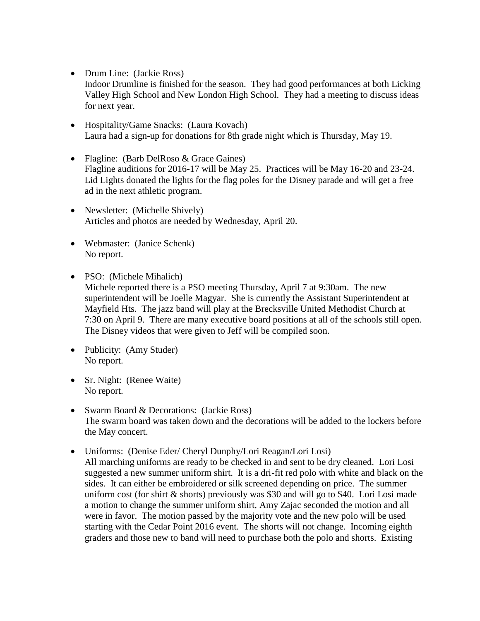• Drum Line: (Jackie Ross)

Indoor Drumline is finished for the season. They had good performances at both Licking Valley High School and New London High School. They had a meeting to discuss ideas for next year.

- Hospitality/Game Snacks: (Laura Kovach) Laura had a sign-up for donations for 8th grade night which is Thursday, May 19.
- Flagline: (Barb DelRoso & Grace Gaines) Flagline auditions for 2016-17 will be May 25. Practices will be May 16-20 and 23-24. Lid Lights donated the lights for the flag poles for the Disney parade and will get a free ad in the next athletic program.
- Newsletter: (Michelle Shively) Articles and photos are needed by Wednesday, April 20.
- Webmaster: (Janice Schenk) No report.
- PSO: (Michele Mihalich) Michele reported there is a PSO meeting Thursday, April 7 at 9:30am. The new superintendent will be Joelle Magyar. She is currently the Assistant Superintendent at Mayfield Hts. The jazz band will play at the Brecksville United Methodist Church at 7:30 on April 9. There are many executive board positions at all of the schools still open. The Disney videos that were given to Jeff will be compiled soon.
- Publicity: (Amy Studer) No report.
- Sr. Night: (Renee Waite) No report.
- Swarm Board & Decorations: (Jackie Ross) The swarm board was taken down and the decorations will be added to the lockers before the May concert.
- Uniforms: (Denise Eder/ Cheryl Dunphy/Lori Reagan/Lori Losi) All marching uniforms are ready to be checked in and sent to be dry cleaned. Lori Losi suggested a new summer uniform shirt. It is a dri-fit red polo with white and black on the sides. It can either be embroidered or silk screened depending on price. The summer uniform cost (for shirt  $\&$  shorts) previously was \$30 and will go to \$40. Lori Losi made a motion to change the summer uniform shirt, Amy Zajac seconded the motion and all were in favor. The motion passed by the majority vote and the new polo will be used starting with the Cedar Point 2016 event. The shorts will not change. Incoming eighth graders and those new to band will need to purchase both the polo and shorts. Existing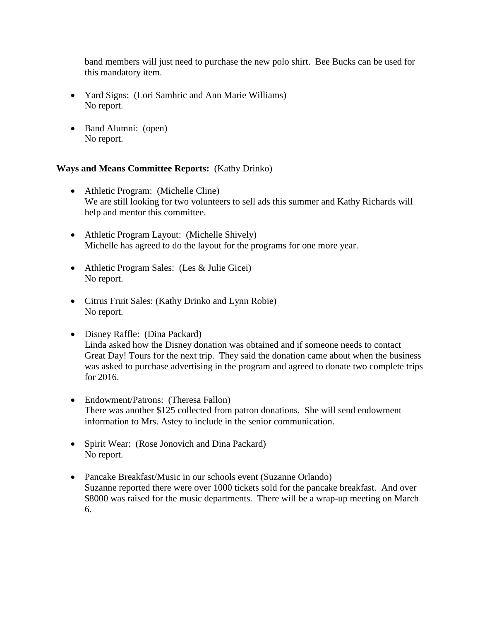band members will just need to purchase the new polo shirt. Bee Bucks can be used for this mandatory item.

- Yard Signs: (Lori Samhric and Ann Marie Williams) No report.
- Band Alumni: (open) No report.

## **Ways and Means Committee Reports:** (Kathy Drinko)

- Athletic Program: (Michelle Cline) We are still looking for two volunteers to sell ads this summer and Kathy Richards will help and mentor this committee.
- Athletic Program Layout: (Michelle Shively) Michelle has agreed to do the layout for the programs for one more year.
- Athletic Program Sales: (Les & Julie Gicei) No report.
- Citrus Fruit Sales: (Kathy Drinko and Lynn Robie) No report.
- Disney Raffle: (Dina Packard) Linda asked how the Disney donation was obtained and if someone needs to contact Great Day! Tours for the next trip. They said the donation came about when the business was asked to purchase advertising in the program and agreed to donate two complete trips for 2016.
- Endowment/Patrons: (Theresa Fallon) There was another \$125 collected from patron donations. She will send endowment information to Mrs. Astey to include in the senior communication.
- Spirit Wear: (Rose Jonovich and Dina Packard) No report.
- Pancake Breakfast/Music in our schools event (Suzanne Orlando) Suzanne reported there were over 1000 tickets sold for the pancake breakfast. And over \$8000 was raised for the music departments. There will be a wrap-up meeting on March 6.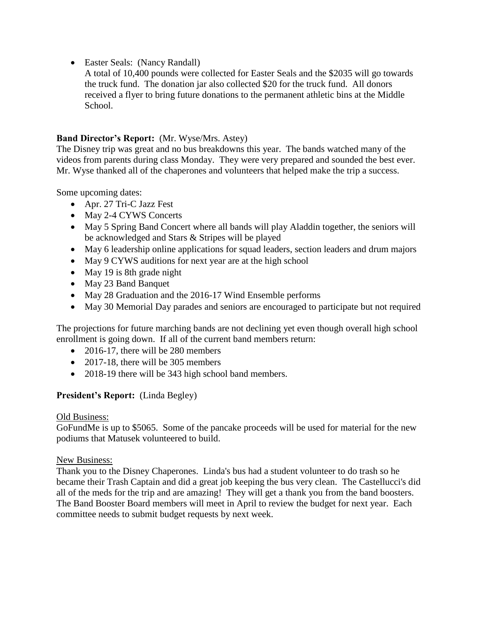- Easter Seals: (Nancy Randall)
- A total of 10,400 pounds were collected for Easter Seals and the \$2035 will go towards the truck fund. The donation jar also collected \$20 for the truck fund. All donors received a flyer to bring future donations to the permanent athletic bins at the Middle School.

## **Band Director's Report:** (Mr. Wyse/Mrs. Astey)

The Disney trip was great and no bus breakdowns this year. The bands watched many of the videos from parents during class Monday. They were very prepared and sounded the best ever. Mr. Wyse thanked all of the chaperones and volunteers that helped make the trip a success.

Some upcoming dates:

- Apr. 27 Tri-C Jazz Fest
- May 2-4 CYWS Concerts
- May 5 Spring Band Concert where all bands will play Aladdin together, the seniors will be acknowledged and Stars & Stripes will be played
- May 6 leadership online applications for squad leaders, section leaders and drum majors
- May 9 CYWS auditions for next year are at the high school
- May 19 is 8th grade night
- May 23 Band Banquet
- May 28 Graduation and the 2016-17 Wind Ensemble performs
- May 30 Memorial Day parades and seniors are encouraged to participate but not required

The projections for future marching bands are not declining yet even though overall high school enrollment is going down. If all of the current band members return:

- 2016-17, there will be 280 members
- 2017-18, there will be 305 members
- 2018-19 there will be 343 high school band members.

## **President's Report:** (Linda Begley)

#### Old Business:

GoFundMe is up to \$5065. Some of the pancake proceeds will be used for material for the new podiums that Matusek volunteered to build.

#### New Business:

Thank you to the Disney Chaperones. Linda's bus had a student volunteer to do trash so he became their Trash Captain and did a great job keeping the bus very clean. The Castellucci's did all of the meds for the trip and are amazing! They will get a thank you from the band boosters. The Band Booster Board members will meet in April to review the budget for next year. Each committee needs to submit budget requests by next week.